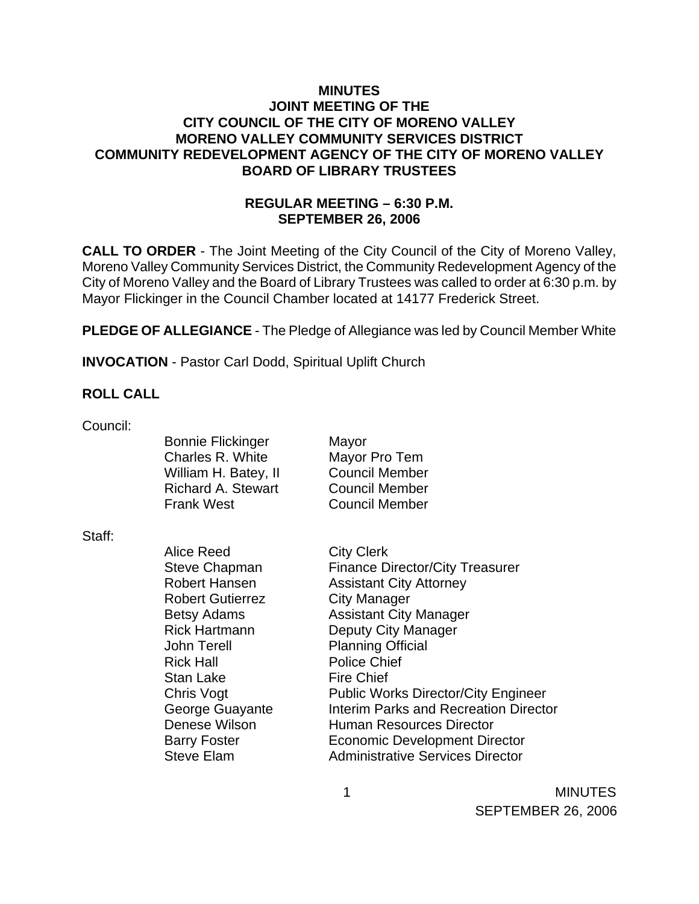### **MINUTES JOINT MEETING OF THE CITY COUNCIL OF THE CITY OF MORENO VALLEY MORENO VALLEY COMMUNITY SERVICES DISTRICT COMMUNITY REDEVELOPMENT AGENCY OF THE CITY OF MORENO VALLEY BOARD OF LIBRARY TRUSTEES**

# **REGULAR MEETING – 6:30 P.M. SEPTEMBER 26, 2006**

**CALL TO ORDER** - The Joint Meeting of the City Council of the City of Moreno Valley, Moreno Valley Community Services District, the Community Redevelopment Agency of the City of Moreno Valley and the Board of Library Trustees was called to order at 6:30 p.m. by Mayor Flickinger in the Council Chamber located at 14177 Frederick Street.

**PLEDGE OF ALLEGIANCE** - The Pledge of Allegiance was led by Council Member White

**INVOCATION** - Pastor Carl Dodd, Spiritual Uplift Church

### **ROLL CALL**

Council:

Bonnie Flickinger Mayor Charles R. White Mayor Pro Tem William H. Batey, II Council Member Richard A. Stewart Council Member Frank West Council Member

Staff:

Alice Reed City Clerk Robert Gutierrez **City Manager** John Terell Planning Official Rick Hall **Police Chief** Stan Lake Fire Chief

Steve Chapman Finance Director/City Treasurer Robert Hansen **Assistant City Attorney** Betsy Adams **Assistant City Manager** Rick Hartmann Deputy City Manager Chris Vogt Public Works Director/City Engineer George Guayante **Interim Parks and Recreation Director** Denese Wilson **Human Resources Director** Barry Foster **Economic Development Director** Steve Elam Administrative Services Director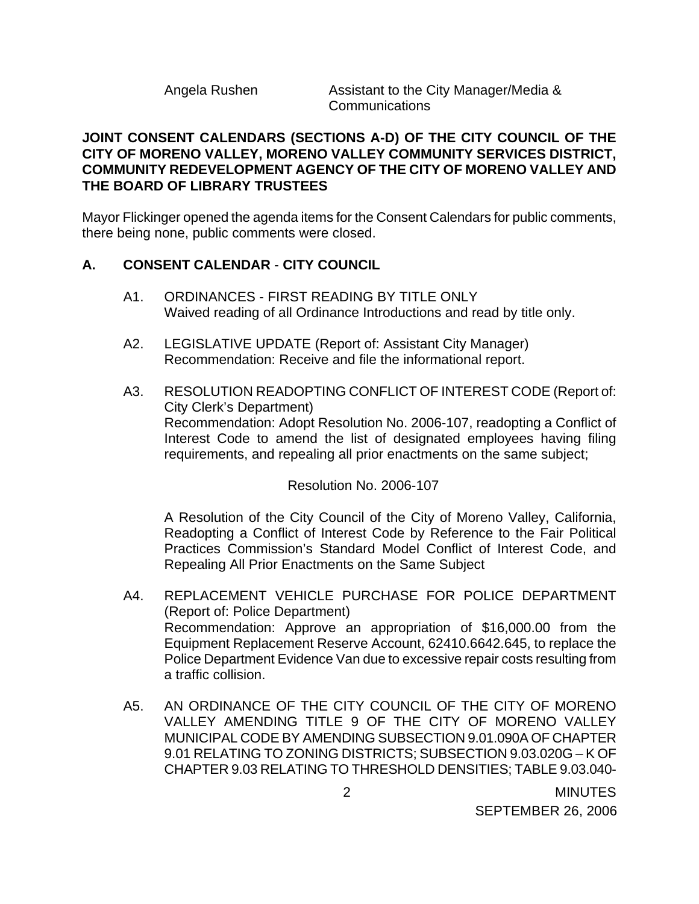### **JOINT CONSENT CALENDARS (SECTIONS A-D) OF THE CITY COUNCIL OF THE CITY OF MORENO VALLEY, MORENO VALLEY COMMUNITY SERVICES DISTRICT, COMMUNITY REDEVELOPMENT AGENCY OF THE CITY OF MORENO VALLEY AND THE BOARD OF LIBRARY TRUSTEES**

Mayor Flickinger opened the agenda items for the Consent Calendars for public comments, there being none, public comments were closed.

### **A. CONSENT CALENDAR** - **CITY COUNCIL**

- A1. ORDINANCES FIRST READING BY TITLE ONLY Waived reading of all Ordinance Introductions and read by title only.
- A2. LEGISLATIVE UPDATE (Report of: Assistant City Manager) Recommendation: Receive and file the informational report.
- A3. RESOLUTION READOPTING CONFLICT OF INTEREST CODE (Report of: City Clerk's Department) Recommendation: Adopt Resolution No. 2006-107, readopting a Conflict of Interest Code to amend the list of designated employees having filing requirements, and repealing all prior enactments on the same subject;

Resolution No. 2006-107

 A Resolution of the City Council of the City of Moreno Valley, California, Readopting a Conflict of Interest Code by Reference to the Fair Political Practices Commission's Standard Model Conflict of Interest Code, and Repealing All Prior Enactments on the Same Subject

- A4. REPLACEMENT VEHICLE PURCHASE FOR POLICE DEPARTMENT (Report of: Police Department) Recommendation: Approve an appropriation of \$16,000.00 from the Equipment Replacement Reserve Account, 62410.6642.645, to replace the Police Department Evidence Van due to excessive repair costs resulting from a traffic collision.
- A5. AN ORDINANCE OF THE CITY COUNCIL OF THE CITY OF MORENO VALLEY AMENDING TITLE 9 OF THE CITY OF MORENO VALLEY MUNICIPAL CODE BY AMENDING SUBSECTION 9.01.090A OF CHAPTER 9.01 RELATING TO ZONING DISTRICTS; SUBSECTION 9.03.020G – K OF CHAPTER 9.03 RELATING TO THRESHOLD DENSITIES; TABLE 9.03.040-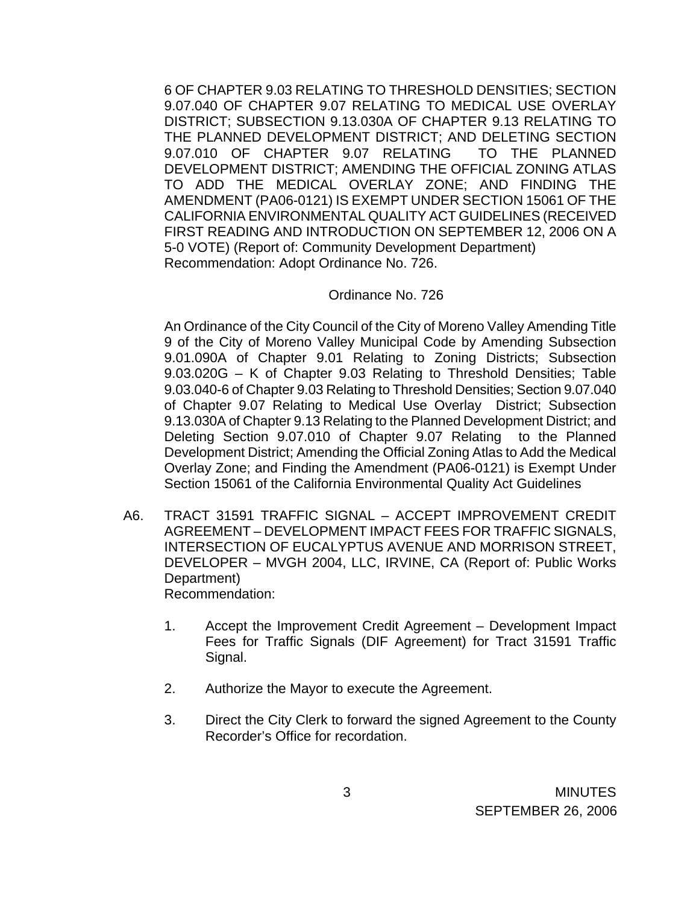6 OF CHAPTER 9.03 RELATING TO THRESHOLD DENSITIES; SECTION 9.07.040 OF CHAPTER 9.07 RELATING TO MEDICAL USE OVERLAY DISTRICT; SUBSECTION 9.13.030A OF CHAPTER 9.13 RELATING TO THE PLANNED DEVELOPMENT DISTRICT; AND DELETING SECTION 9.07.010 OF CHAPTER 9.07 RELATING TO THE PLANNED DEVELOPMENT DISTRICT; AMENDING THE OFFICIAL ZONING ATLAS TO ADD THE MEDICAL OVERLAY ZONE; AND FINDING THE AMENDMENT (PA06-0121) IS EXEMPT UNDER SECTION 15061 OF THE CALIFORNIA ENVIRONMENTAL QUALITY ACT GUIDELINES (RECEIVED FIRST READING AND INTRODUCTION ON SEPTEMBER 12, 2006 ON A 5-0 VOTE) (Report of: Community Development Department) Recommendation: Adopt Ordinance No. 726.

#### Ordinance No. 726

 An Ordinance of the City Council of the City of Moreno Valley Amending Title 9 of the City of Moreno Valley Municipal Code by Amending Subsection 9.01.090A of Chapter 9.01 Relating to Zoning Districts; Subsection 9.03.020G – K of Chapter 9.03 Relating to Threshold Densities; Table 9.03.040-6 of Chapter 9.03 Relating to Threshold Densities; Section 9.07.040 of Chapter 9.07 Relating to Medical Use Overlay District; Subsection 9.13.030A of Chapter 9.13 Relating to the Planned Development District; and Deleting Section 9.07.010 of Chapter 9.07 Relating to the Planned Development District; Amending the Official Zoning Atlas to Add the Medical Overlay Zone; and Finding the Amendment (PA06-0121) is Exempt Under Section 15061 of the California Environmental Quality Act Guidelines

- A6. TRACT 31591 TRAFFIC SIGNAL ACCEPT IMPROVEMENT CREDIT AGREEMENT – DEVELOPMENT IMPACT FEES FOR TRAFFIC SIGNALS, INTERSECTION OF EUCALYPTUS AVENUE AND MORRISON STREET, DEVELOPER – MVGH 2004, LLC, IRVINE, CA (Report of: Public Works Department) Recommendation:
	- 1. Accept the Improvement Credit Agreement Development Impact Fees for Traffic Signals (DIF Agreement) for Tract 31591 Traffic Signal.
	- 2. Authorize the Mayor to execute the Agreement.
	- 3. Direct the City Clerk to forward the signed Agreement to the County Recorder's Office for recordation.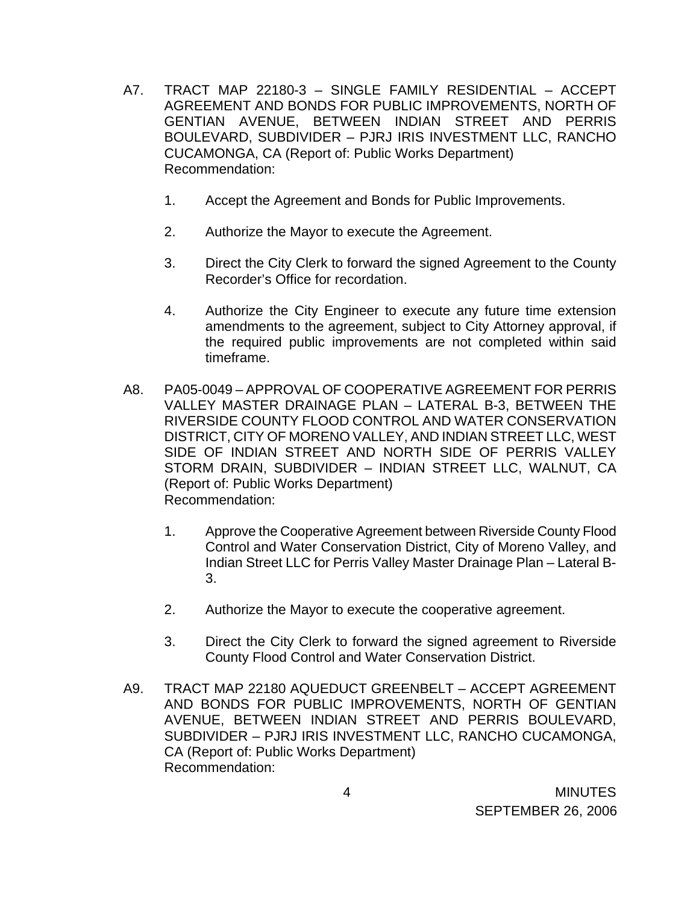- A7. TRACT MAP 22180-3 SINGLE FAMILY RESIDENTIAL ACCEPT AGREEMENT AND BONDS FOR PUBLIC IMPROVEMENTS, NORTH OF GENTIAN AVENUE, BETWEEN INDIAN STREET AND PERRIS BOULEVARD, SUBDIVIDER – PJRJ IRIS INVESTMENT LLC, RANCHO CUCAMONGA, CA (Report of: Public Works Department) Recommendation:
	- 1. Accept the Agreement and Bonds for Public Improvements.
	- 2. Authorize the Mayor to execute the Agreement.
	- 3. Direct the City Clerk to forward the signed Agreement to the County Recorder's Office for recordation.
	- 4. Authorize the City Engineer to execute any future time extension amendments to the agreement, subject to City Attorney approval, if the required public improvements are not completed within said timeframe.
- A8. PA05-0049 APPROVAL OF COOPERATIVE AGREEMENT FOR PERRIS VALLEY MASTER DRAINAGE PLAN – LATERAL B-3, BETWEEN THE RIVERSIDE COUNTY FLOOD CONTROL AND WATER CONSERVATION DISTRICT, CITY OF MORENO VALLEY, AND INDIAN STREET LLC, WEST SIDE OF INDIAN STREET AND NORTH SIDE OF PERRIS VALLEY STORM DRAIN, SUBDIVIDER – INDIAN STREET LLC, WALNUT, CA (Report of: Public Works Department) Recommendation:
	- 1. Approve the Cooperative Agreement between Riverside County Flood Control and Water Conservation District, City of Moreno Valley, and Indian Street LLC for Perris Valley Master Drainage Plan – Lateral B-3.
	- 2. Authorize the Mayor to execute the cooperative agreement.
	- 3. Direct the City Clerk to forward the signed agreement to Riverside County Flood Control and Water Conservation District.
- A9. TRACT MAP 22180 AQUEDUCT GREENBELT ACCEPT AGREEMENT AND BONDS FOR PUBLIC IMPROVEMENTS, NORTH OF GENTIAN AVENUE, BETWEEN INDIAN STREET AND PERRIS BOULEVARD, SUBDIVIDER – PJRJ IRIS INVESTMENT LLC, RANCHO CUCAMONGA, CA (Report of: Public Works Department) Recommendation: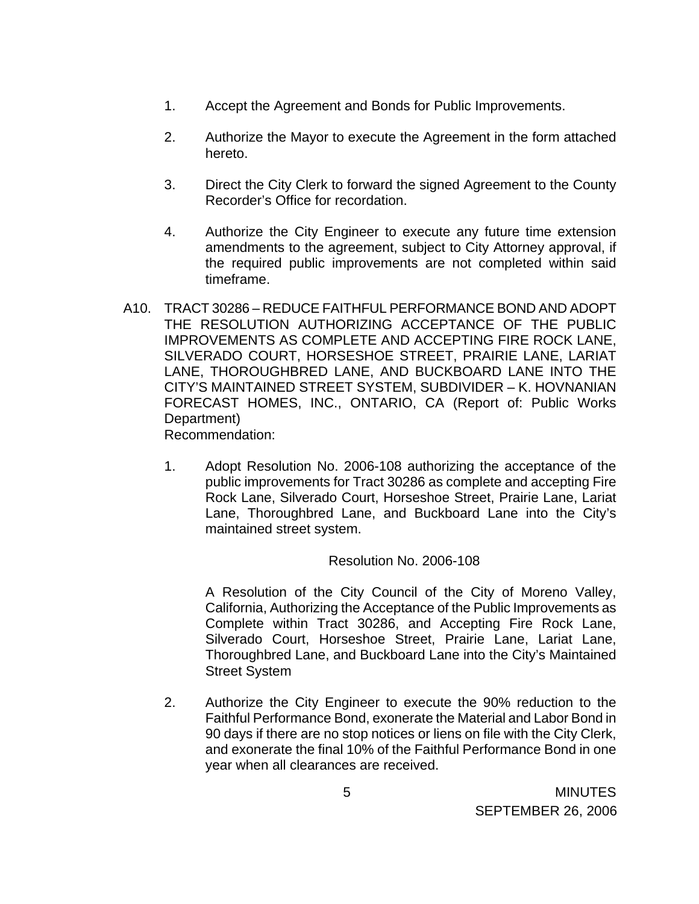- 1. Accept the Agreement and Bonds for Public Improvements.
- 2. Authorize the Mayor to execute the Agreement in the form attached hereto.
- 3. Direct the City Clerk to forward the signed Agreement to the County Recorder's Office for recordation.
- 4. Authorize the City Engineer to execute any future time extension amendments to the agreement, subject to City Attorney approval, if the required public improvements are not completed within said timeframe.
- A10. TRACT 30286 REDUCE FAITHFUL PERFORMANCE BOND AND ADOPT THE RESOLUTION AUTHORIZING ACCEPTANCE OF THE PUBLIC IMPROVEMENTS AS COMPLETE AND ACCEPTING FIRE ROCK LANE, SILVERADO COURT, HORSESHOE STREET, PRAIRIE LANE, LARIAT LANE, THOROUGHBRED LANE, AND BUCKBOARD LANE INTO THE CITY'S MAINTAINED STREET SYSTEM, SUBDIVIDER – K. HOVNANIAN FORECAST HOMES, INC., ONTARIO, CA (Report of: Public Works Department) Recommendation:
	- 1. Adopt Resolution No. 2006-108 authorizing the acceptance of the public improvements for Tract 30286 as complete and accepting Fire Rock Lane, Silverado Court, Horseshoe Street, Prairie Lane, Lariat Lane, Thoroughbred Lane, and Buckboard Lane into the City's maintained street system.

### Resolution No. 2006-108

 A Resolution of the City Council of the City of Moreno Valley, California, Authorizing the Acceptance of the Public Improvements as Complete within Tract 30286, and Accepting Fire Rock Lane, Silverado Court, Horseshoe Street, Prairie Lane, Lariat Lane, Thoroughbred Lane, and Buckboard Lane into the City's Maintained Street System

 2. Authorize the City Engineer to execute the 90% reduction to the Faithful Performance Bond, exonerate the Material and Labor Bond in 90 days if there are no stop notices or liens on file with the City Clerk, and exonerate the final 10% of the Faithful Performance Bond in one year when all clearances are received.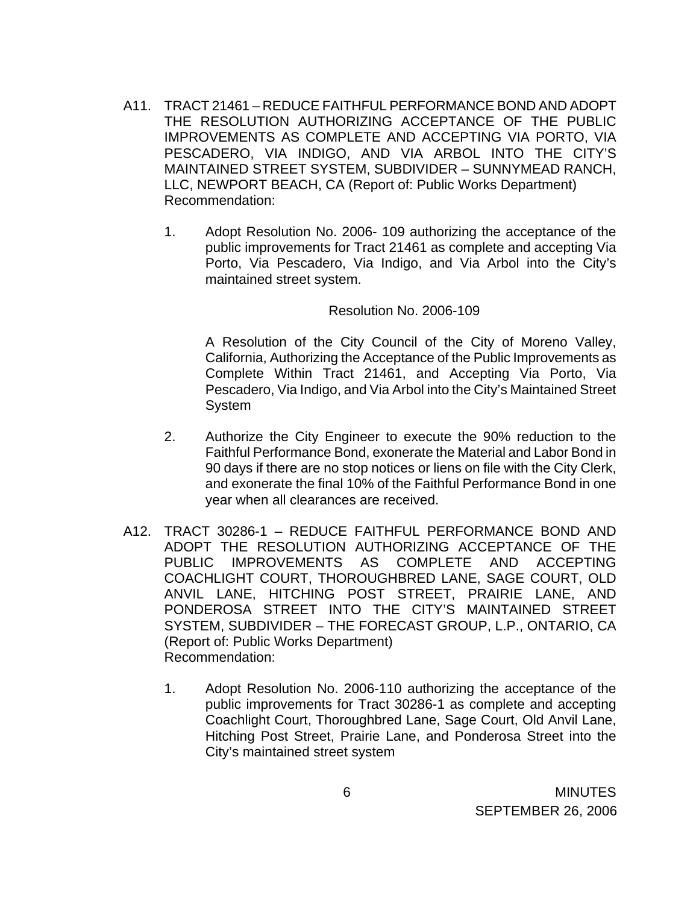- A11. TRACT 21461 REDUCE FAITHFUL PERFORMANCE BOND AND ADOPT THE RESOLUTION AUTHORIZING ACCEPTANCE OF THE PUBLIC IMPROVEMENTS AS COMPLETE AND ACCEPTING VIA PORTO, VIA PESCADERO, VIA INDIGO, AND VIA ARBOL INTO THE CITY'S MAINTAINED STREET SYSTEM, SUBDIVIDER – SUNNYMEAD RANCH, LLC, NEWPORT BEACH, CA (Report of: Public Works Department) Recommendation:
	- 1. Adopt Resolution No. 2006- 109 authorizing the acceptance of the public improvements for Tract 21461 as complete and accepting Via Porto, Via Pescadero, Via Indigo, and Via Arbol into the City's maintained street system.

#### Resolution No. 2006-109

 A Resolution of the City Council of the City of Moreno Valley, California, Authorizing the Acceptance of the Public Improvements as Complete Within Tract 21461, and Accepting Via Porto, Via Pescadero, Via Indigo, and Via Arbol into the City's Maintained Street System

- 2. Authorize the City Engineer to execute the 90% reduction to the Faithful Performance Bond, exonerate the Material and Labor Bond in 90 days if there are no stop notices or liens on file with the City Clerk, and exonerate the final 10% of the Faithful Performance Bond in one year when all clearances are received.
- A12. TRACT 30286-1 REDUCE FAITHFUL PERFORMANCE BOND AND ADOPT THE RESOLUTION AUTHORIZING ACCEPTANCE OF THE PUBLIC IMPROVEMENTS AS COMPLETE AND ACCEPTING COACHLIGHT COURT, THOROUGHBRED LANE, SAGE COURT, OLD ANVIL LANE, HITCHING POST STREET, PRAIRIE LANE, AND PONDEROSA STREET INTO THE CITY'S MAINTAINED STREET SYSTEM, SUBDIVIDER – THE FORECAST GROUP, L.P., ONTARIO, CA (Report of: Public Works Department) Recommendation:
	- 1. Adopt Resolution No. 2006-110 authorizing the acceptance of the public improvements for Tract 30286-1 as complete and accepting Coachlight Court, Thoroughbred Lane, Sage Court, Old Anvil Lane, Hitching Post Street, Prairie Lane, and Ponderosa Street into the City's maintained street system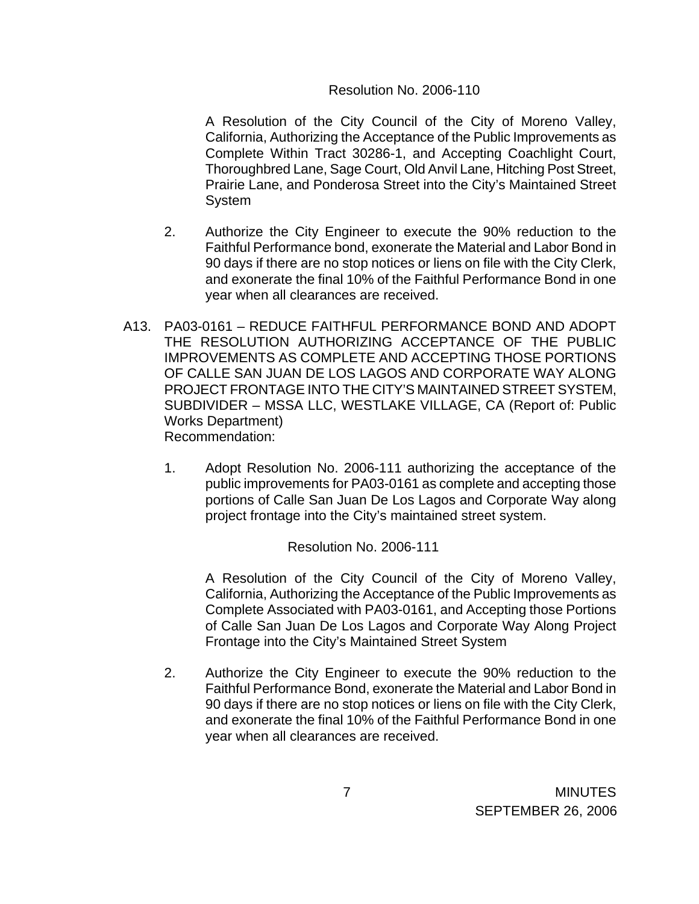#### Resolution No. 2006-110

 A Resolution of the City Council of the City of Moreno Valley, California, Authorizing the Acceptance of the Public Improvements as Complete Within Tract 30286-1, and Accepting Coachlight Court, Thoroughbred Lane, Sage Court, Old Anvil Lane, Hitching Post Street, Prairie Lane, and Ponderosa Street into the City's Maintained Street System

- 2. Authorize the City Engineer to execute the 90% reduction to the Faithful Performance bond, exonerate the Material and Labor Bond in 90 days if there are no stop notices or liens on file with the City Clerk, and exonerate the final 10% of the Faithful Performance Bond in one year when all clearances are received.
- A13. PA03-0161 REDUCE FAITHFUL PERFORMANCE BOND AND ADOPT THE RESOLUTION AUTHORIZING ACCEPTANCE OF THE PUBLIC IMPROVEMENTS AS COMPLETE AND ACCEPTING THOSE PORTIONS OF CALLE SAN JUAN DE LOS LAGOS AND CORPORATE WAY ALONG PROJECT FRONTAGE INTO THE CITY'S MAINTAINED STREET SYSTEM, SUBDIVIDER – MSSA LLC, WESTLAKE VILLAGE, CA (Report of: Public Works Department) Recommendation:
	- 1. Adopt Resolution No. 2006-111 authorizing the acceptance of the public improvements for PA03-0161 as complete and accepting those portions of Calle San Juan De Los Lagos and Corporate Way along project frontage into the City's maintained street system.

#### Resolution No. 2006-111

 A Resolution of the City Council of the City of Moreno Valley, California, Authorizing the Acceptance of the Public Improvements as Complete Associated with PA03-0161, and Accepting those Portions of Calle San Juan De Los Lagos and Corporate Way Along Project Frontage into the City's Maintained Street System

 2. Authorize the City Engineer to execute the 90% reduction to the Faithful Performance Bond, exonerate the Material and Labor Bond in 90 days if there are no stop notices or liens on file with the City Clerk, and exonerate the final 10% of the Faithful Performance Bond in one year when all clearances are received.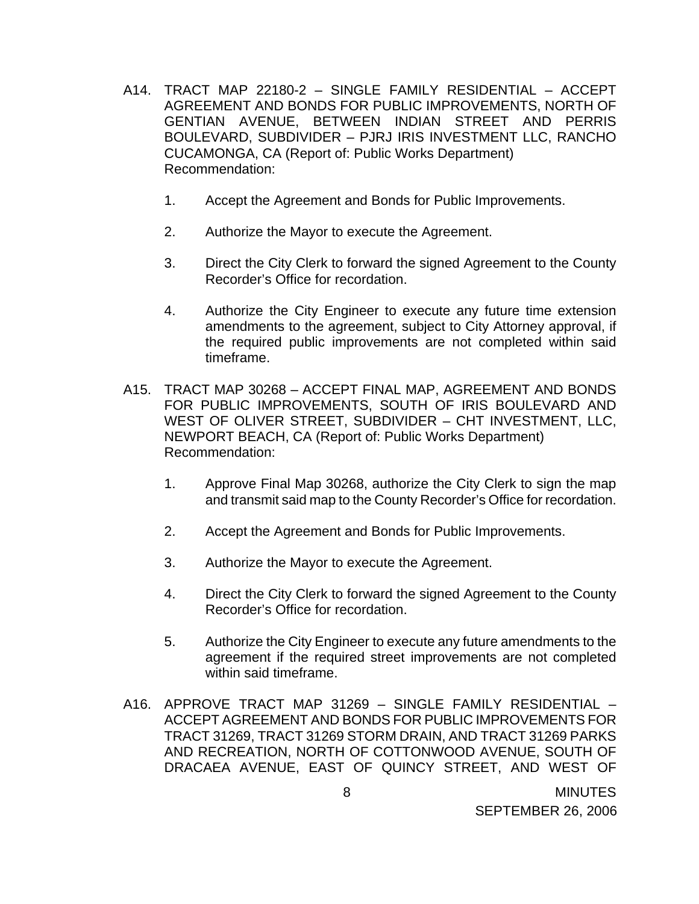- A14. TRACT MAP 22180-2 SINGLE FAMILY RESIDENTIAL ACCEPT AGREEMENT AND BONDS FOR PUBLIC IMPROVEMENTS, NORTH OF GENTIAN AVENUE, BETWEEN INDIAN STREET AND PERRIS BOULEVARD, SUBDIVIDER – PJRJ IRIS INVESTMENT LLC, RANCHO CUCAMONGA, CA (Report of: Public Works Department) Recommendation:
	- 1. Accept the Agreement and Bonds for Public Improvements.
	- 2. Authorize the Mayor to execute the Agreement.
	- 3. Direct the City Clerk to forward the signed Agreement to the County Recorder's Office for recordation.
	- 4. Authorize the City Engineer to execute any future time extension amendments to the agreement, subject to City Attorney approval, if the required public improvements are not completed within said timeframe.
- A15. TRACT MAP 30268 ACCEPT FINAL MAP, AGREEMENT AND BONDS FOR PUBLIC IMPROVEMENTS, SOUTH OF IRIS BOULEVARD AND WEST OF OLIVER STREET, SUBDIVIDER – CHT INVESTMENT, LLC, NEWPORT BEACH, CA (Report of: Public Works Department) Recommendation:
	- 1. Approve Final Map 30268, authorize the City Clerk to sign the map and transmit said map to the County Recorder's Office for recordation.
	- 2. Accept the Agreement and Bonds for Public Improvements.
	- 3. Authorize the Mayor to execute the Agreement.
	- 4. Direct the City Clerk to forward the signed Agreement to the County Recorder's Office for recordation.
	- 5. Authorize the City Engineer to execute any future amendments to the agreement if the required street improvements are not completed within said timeframe.
- A16. APPROVE TRACT MAP 31269 SINGLE FAMILY RESIDENTIAL ACCEPT AGREEMENT AND BONDS FOR PUBLIC IMPROVEMENTS FOR TRACT 31269, TRACT 31269 STORM DRAIN, AND TRACT 31269 PARKS AND RECREATION, NORTH OF COTTONWOOD AVENUE, SOUTH OF DRACAEA AVENUE, EAST OF QUINCY STREET, AND WEST OF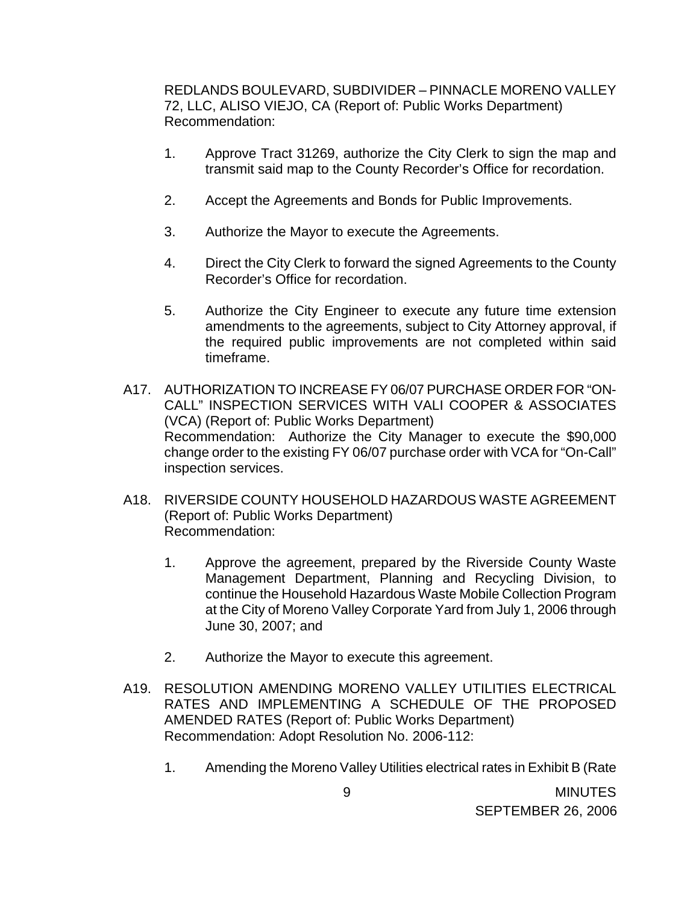REDLANDS BOULEVARD, SUBDIVIDER – PINNACLE MORENO VALLEY 72, LLC, ALISO VIEJO, CA (Report of: Public Works Department) Recommendation:

- 1. Approve Tract 31269, authorize the City Clerk to sign the map and transmit said map to the County Recorder's Office for recordation.
- 2. Accept the Agreements and Bonds for Public Improvements.
- 3. Authorize the Mayor to execute the Agreements.
- 4. Direct the City Clerk to forward the signed Agreements to the County Recorder's Office for recordation.
- 5. Authorize the City Engineer to execute any future time extension amendments to the agreements, subject to City Attorney approval, if the required public improvements are not completed within said timeframe.
- A17. AUTHORIZATION TO INCREASE FY 06/07 PURCHASE ORDER FOR "ON-CALL" INSPECTION SERVICES WITH VALI COOPER & ASSOCIATES (VCA) (Report of: Public Works Department) Recommendation: Authorize the City Manager to execute the \$90,000 change order to the existing FY 06/07 purchase order with VCA for "On-Call" inspection services.
- A18. RIVERSIDE COUNTY HOUSEHOLD HAZARDOUS WASTE AGREEMENT (Report of: Public Works Department) Recommendation:
	- 1. Approve the agreement, prepared by the Riverside County Waste Management Department, Planning and Recycling Division, to continue the Household Hazardous Waste Mobile Collection Program at the City of Moreno Valley Corporate Yard from July 1, 2006 through June 30, 2007; and
	- 2. Authorize the Mayor to execute this agreement.
- A19. RESOLUTION AMENDING MORENO VALLEY UTILITIES ELECTRICAL RATES AND IMPLEMENTING A SCHEDULE OF THE PROPOSED AMENDED RATES (Report of: Public Works Department) Recommendation: Adopt Resolution No. 2006-112:
	- 1. Amending the Moreno Valley Utilities electrical rates in Exhibit B (Rate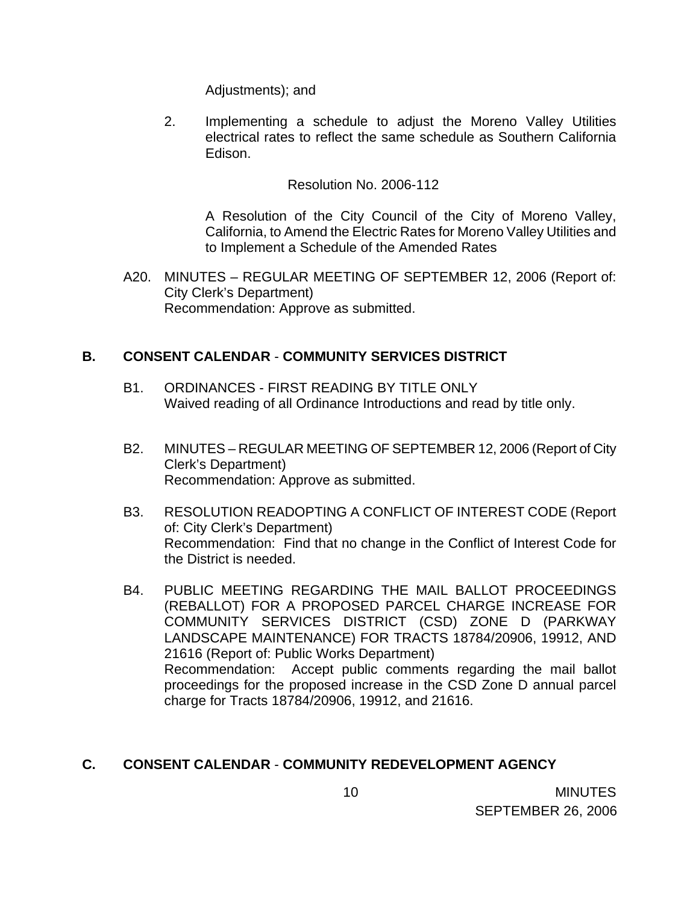Adjustments); and

 2. Implementing a schedule to adjust the Moreno Valley Utilities electrical rates to reflect the same schedule as Southern California Edison.

### Resolution No. 2006-112

 A Resolution of the City Council of the City of Moreno Valley, California, to Amend the Electric Rates for Moreno Valley Utilities and to Implement a Schedule of the Amended Rates

A20. MINUTES – REGULAR MEETING OF SEPTEMBER 12, 2006 (Report of: City Clerk's Department) Recommendation: Approve as submitted.

### **B. CONSENT CALENDAR** - **COMMUNITY SERVICES DISTRICT**

- B1. ORDINANCES FIRST READING BY TITLE ONLY Waived reading of all Ordinance Introductions and read by title only.
- B2. MINUTES REGULAR MEETING OF SEPTEMBER 12, 2006 (Report of City Clerk's Department) Recommendation: Approve as submitted.
- B3. RESOLUTION READOPTING A CONFLICT OF INTEREST CODE (Report of: City Clerk's Department) Recommendation: Find that no change in the Conflict of Interest Code for the District is needed.
- B4. PUBLIC MEETING REGARDING THE MAIL BALLOT PROCEEDINGS (REBALLOT) FOR A PROPOSED PARCEL CHARGE INCREASE FOR COMMUNITY SERVICES DISTRICT (CSD) ZONE D (PARKWAY LANDSCAPE MAINTENANCE) FOR TRACTS 18784/20906, 19912, AND 21616 (Report of: Public Works Department) Recommendation: Accept public comments regarding the mail ballot proceedings for the proposed increase in the CSD Zone D annual parcel charge for Tracts 18784/20906, 19912, and 21616.

### **C. CONSENT CALENDAR** - **COMMUNITY REDEVELOPMENT AGENCY**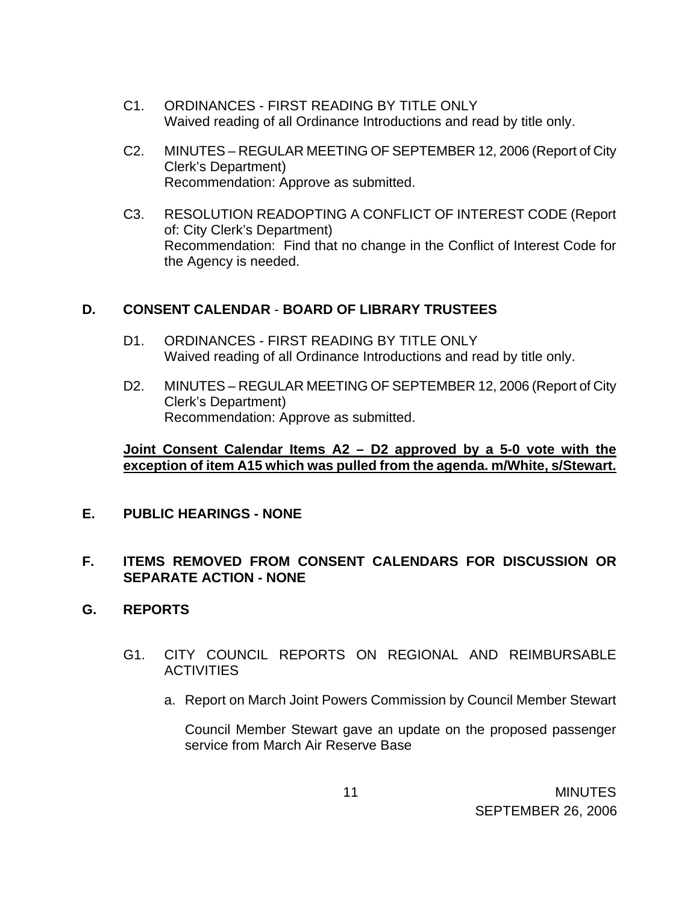- C1. ORDINANCES FIRST READING BY TITLE ONLY Waived reading of all Ordinance Introductions and read by title only.
- C2. MINUTES REGULAR MEETING OF SEPTEMBER 12, 2006 (Report of City Clerk's Department) Recommendation: Approve as submitted.
- C3. RESOLUTION READOPTING A CONFLICT OF INTEREST CODE (Report of: City Clerk's Department) Recommendation: Find that no change in the Conflict of Interest Code for the Agency is needed.

### **D. CONSENT CALENDAR** - **BOARD OF LIBRARY TRUSTEES**

- D1. ORDINANCES FIRST READING BY TITLE ONLY Waived reading of all Ordinance Introductions and read by title only.
- D2. MINUTES REGULAR MEETING OF SEPTEMBER 12, 2006 (Report of City Clerk's Department) Recommendation: Approve as submitted.

### **Joint Consent Calendar Items A2 – D2 approved by a 5-0 vote with the exception of item A15 which was pulled from the agenda. m/White, s/Stewart.**

# **E. PUBLIC HEARINGS - NONE**

### **F. ITEMS REMOVED FROM CONSENT CALENDARS FOR DISCUSSION OR SEPARATE ACTION - NONE**

### **G. REPORTS**

- G1. CITY COUNCIL REPORTS ON REGIONAL AND REIMBURSABLE **ACTIVITIES** 
	- a. Report on March Joint Powers Commission by Council Member Stewart

 Council Member Stewart gave an update on the proposed passenger service from March Air Reserve Base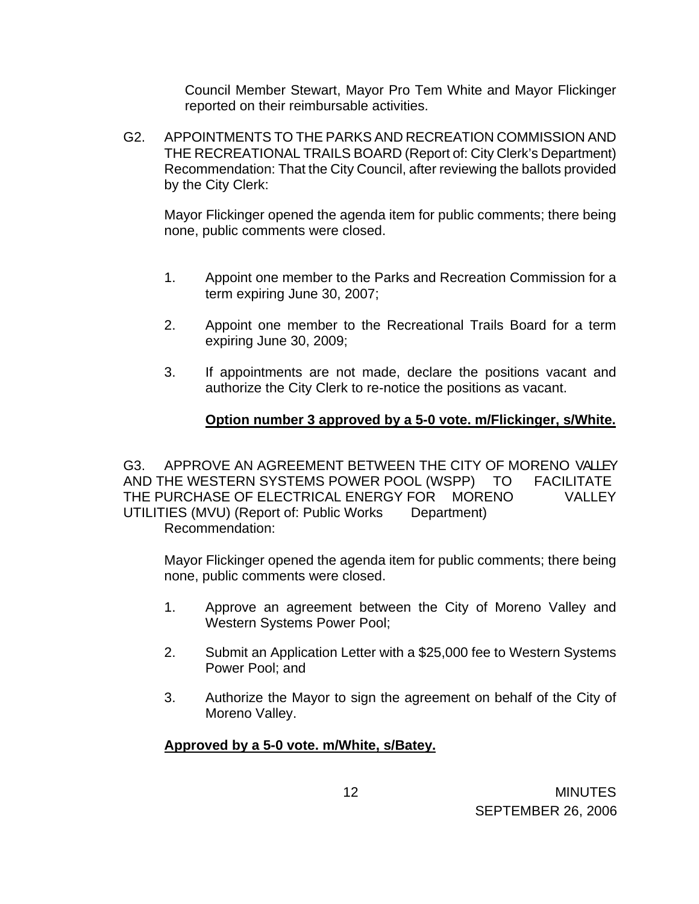Council Member Stewart, Mayor Pro Tem White and Mayor Flickinger reported on their reimbursable activities.

 G2. APPOINTMENTS TO THE PARKS AND RECREATION COMMISSION AND THE RECREATIONAL TRAILS BOARD (Report of: City Clerk's Department) Recommendation: That the City Council, after reviewing the ballots provided by the City Clerk:

Mayor Flickinger opened the agenda item for public comments; there being none, public comments were closed.

- 1. Appoint one member to the Parks and Recreation Commission for a term expiring June 30, 2007;
- 2. Appoint one member to the Recreational Trails Board for a term expiring June 30, 2009;
- 3. If appointments are not made, declare the positions vacant and authorize the City Clerk to re-notice the positions as vacant.

# **Option number 3 approved by a 5-0 vote. m/Flickinger, s/White.**

 G3. APPROVE AN AGREEMENT BETWEEN THE CITY OF MORENO VALLEY AND THE WESTERN SYSTEMS POWER POOL (WSPP) TO FACILITATE THE PURCHASE OF ELECTRICAL ENERGY FOR MORENO VALLEY UTILITIES (MVU) (Report of: Public Works Department) Recommendation:

Mayor Flickinger opened the agenda item for public comments; there being none, public comments were closed.

- 1. Approve an agreement between the City of Moreno Valley and Western Systems Power Pool;
- 2. Submit an Application Letter with a \$25,000 fee to Western Systems Power Pool; and
- 3. Authorize the Mayor to sign the agreement on behalf of the City of Moreno Valley.

### **Approved by a 5-0 vote. m/White, s/Batey.**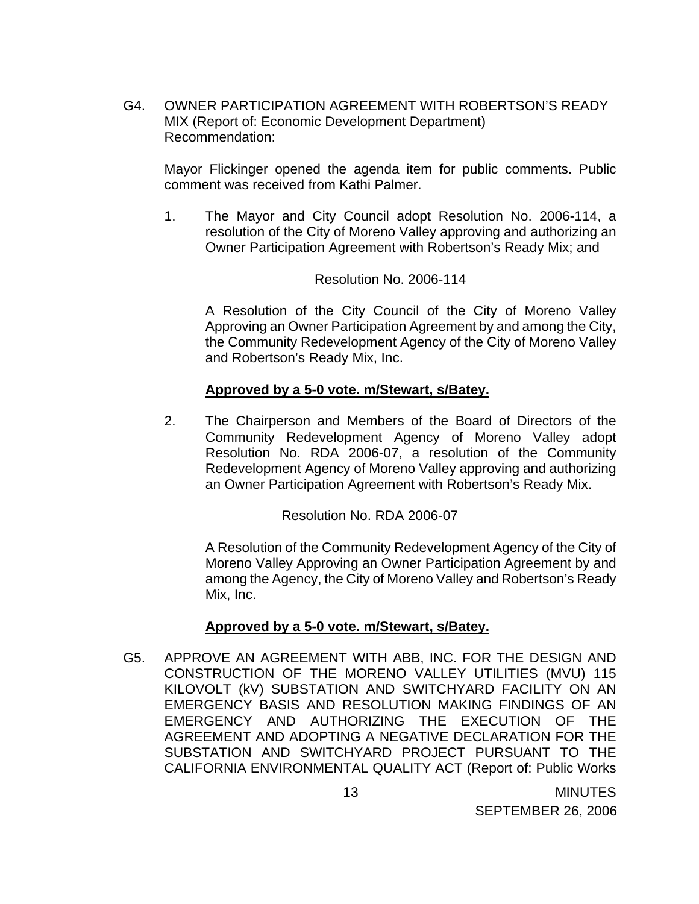G4. OWNER PARTICIPATION AGREEMENT WITH ROBERTSON'S READY MIX (Report of: Economic Development Department) Recommendation:

Mayor Flickinger opened the agenda item for public comments. Public comment was received from Kathi Palmer.

1. The Mayor and City Council adopt Resolution No. 2006-114, a resolution of the City of Moreno Valley approving and authorizing an Owner Participation Agreement with Robertson's Ready Mix; and

#### Resolution No. 2006-114

 A Resolution of the City Council of the City of Moreno Valley Approving an Owner Participation Agreement by and among the City, the Community Redevelopment Agency of the City of Moreno Valley and Robertson's Ready Mix, Inc.

### **Approved by a 5-0 vote. m/Stewart, s/Batey.**

2. The Chairperson and Members of the Board of Directors of the Community Redevelopment Agency of Moreno Valley adopt Resolution No. RDA 2006-07, a resolution of the Community Redevelopment Agency of Moreno Valley approving and authorizing an Owner Participation Agreement with Robertson's Ready Mix.

Resolution No. RDA 2006-07

A Resolution of the Community Redevelopment Agency of the City of Moreno Valley Approving an Owner Participation Agreement by and among the Agency, the City of Moreno Valley and Robertson's Ready Mix, Inc.

### **Approved by a 5-0 vote. m/Stewart, s/Batey.**

G5. APPROVE AN AGREEMENT WITH ABB, INC. FOR THE DESIGN AND CONSTRUCTION OF THE MORENO VALLEY UTILITIES (MVU) 115 KILOVOLT (kV) SUBSTATION AND SWITCHYARD FACILITY ON AN EMERGENCY BASIS AND RESOLUTION MAKING FINDINGS OF AN EMERGENCY AND AUTHORIZING THE EXECUTION OF THE AGREEMENT AND ADOPTING A NEGATIVE DECLARATION FOR THE SUBSTATION AND SWITCHYARD PROJECT PURSUANT TO THE CALIFORNIA ENVIRONMENTAL QUALITY ACT (Report of: Public Works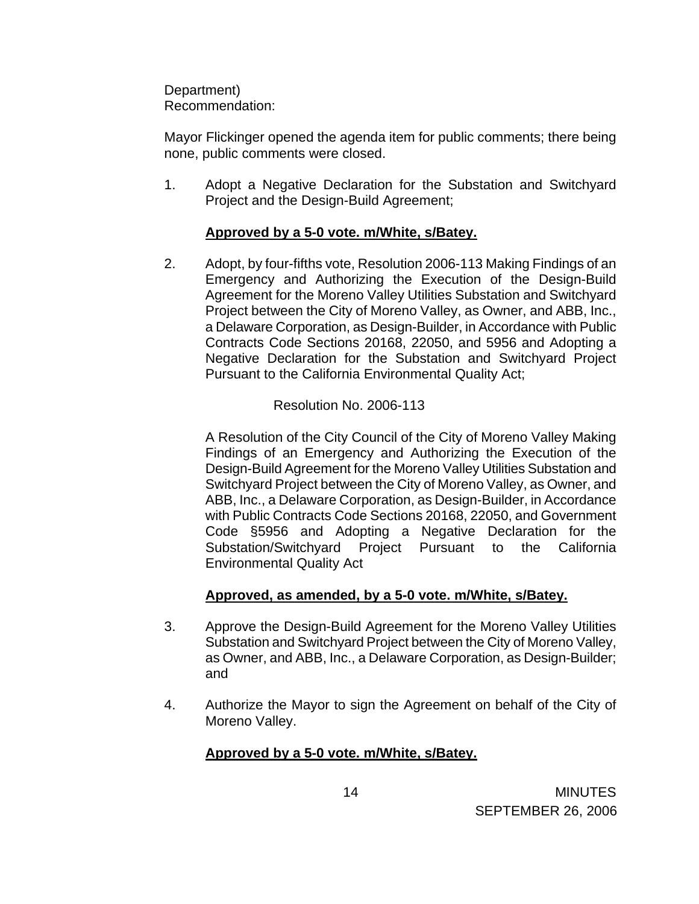Department) Recommendation:

Mayor Flickinger opened the agenda item for public comments; there being none, public comments were closed.

1. Adopt a Negative Declaration for the Substation and Switchyard Project and the Design-Build Agreement;

# **Approved by a 5-0 vote. m/White, s/Batey.**

2. Adopt, by four-fifths vote, Resolution 2006-113 Making Findings of an Emergency and Authorizing the Execution of the Design-Build Agreement for the Moreno Valley Utilities Substation and Switchyard Project between the City of Moreno Valley, as Owner, and ABB, Inc., a Delaware Corporation, as Design-Builder, in Accordance with Public Contracts Code Sections 20168, 22050, and 5956 and Adopting a Negative Declaration for the Substation and Switchyard Project Pursuant to the California Environmental Quality Act;

Resolution No. 2006-113

A Resolution of the City Council of the City of Moreno Valley Making Findings of an Emergency and Authorizing the Execution of the Design-Build Agreement for the Moreno Valley Utilities Substation and Switchyard Project between the City of Moreno Valley, as Owner, and ABB, Inc., a Delaware Corporation, as Design-Builder, in Accordance with Public Contracts Code Sections 20168, 22050, and Government Code §5956 and Adopting a Negative Declaration for the Substation/Switchyard Project Pursuant to the California Environmental Quality Act

# **Approved, as amended, by a 5-0 vote. m/White, s/Batey.**

- 3. Approve the Design-Build Agreement for the Moreno Valley Utilities Substation and Switchyard Project between the City of Moreno Valley, as Owner, and ABB, Inc., a Delaware Corporation, as Design-Builder; and
- 4. Authorize the Mayor to sign the Agreement on behalf of the City of Moreno Valley.

# **Approved by a 5-0 vote. m/White, s/Batey.**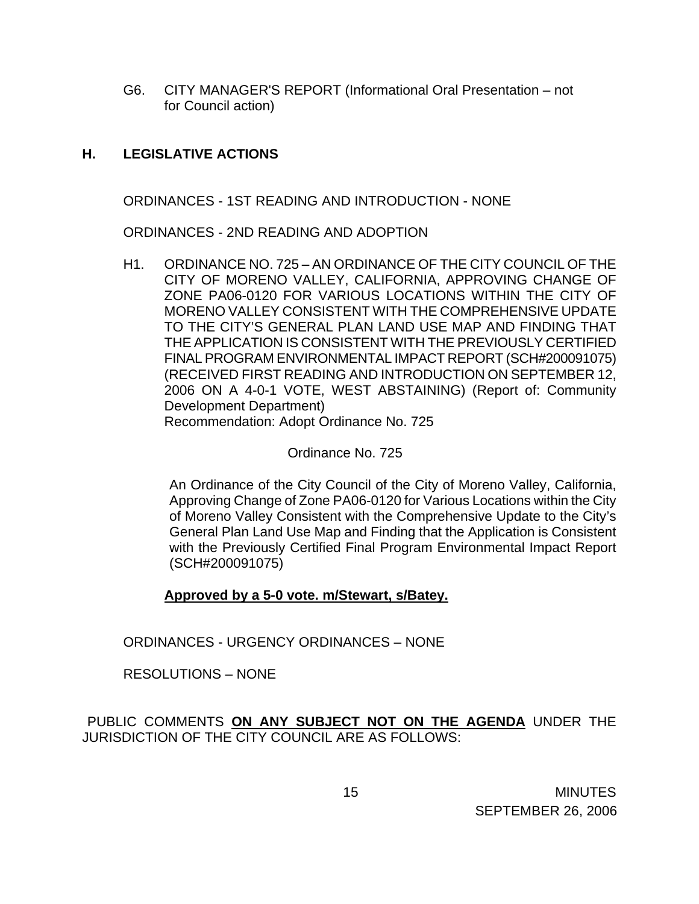G6. CITY MANAGER'S REPORT (Informational Oral Presentation – not for Council action)

## **H. LEGISLATIVE ACTIONS**

ORDINANCES - 1ST READING AND INTRODUCTION - NONE

ORDINANCES - 2ND READING AND ADOPTION

H1. ORDINANCE NO. 725 – AN ORDINANCE OF THE CITY COUNCIL OF THE CITY OF MORENO VALLEY, CALIFORNIA, APPROVING CHANGE OF ZONE PA06-0120 FOR VARIOUS LOCATIONS WITHIN THE CITY OF MORENO VALLEY CONSISTENT WITH THE COMPREHENSIVE UPDATE TO THE CITY'S GENERAL PLAN LAND USE MAP AND FINDING THAT THE APPLICATION IS CONSISTENT WITH THE PREVIOUSLY CERTIFIED FINAL PROGRAM ENVIRONMENTAL IMPACT REPORT (SCH#200091075) (RECEIVED FIRST READING AND INTRODUCTION ON SEPTEMBER 12, 2006 ON A 4-0-1 VOTE, WEST ABSTAINING) (Report of: Community Development Department)

Recommendation: Adopt Ordinance No. 725

Ordinance No. 725

An Ordinance of the City Council of the City of Moreno Valley, California, Approving Change of Zone PA06-0120 for Various Locations within the City of Moreno Valley Consistent with the Comprehensive Update to the City's General Plan Land Use Map and Finding that the Application is Consistent with the Previously Certified Final Program Environmental Impact Report (SCH#200091075)

**Approved by a 5-0 vote. m/Stewart, s/Batey.**

ORDINANCES - URGENCY ORDINANCES – NONE

RESOLUTIONS – NONE

PUBLIC COMMENTS **ON ANY SUBJECT NOT ON THE AGENDA** UNDER THE JURISDICTION OF THE CITY COUNCIL ARE AS FOLLOWS: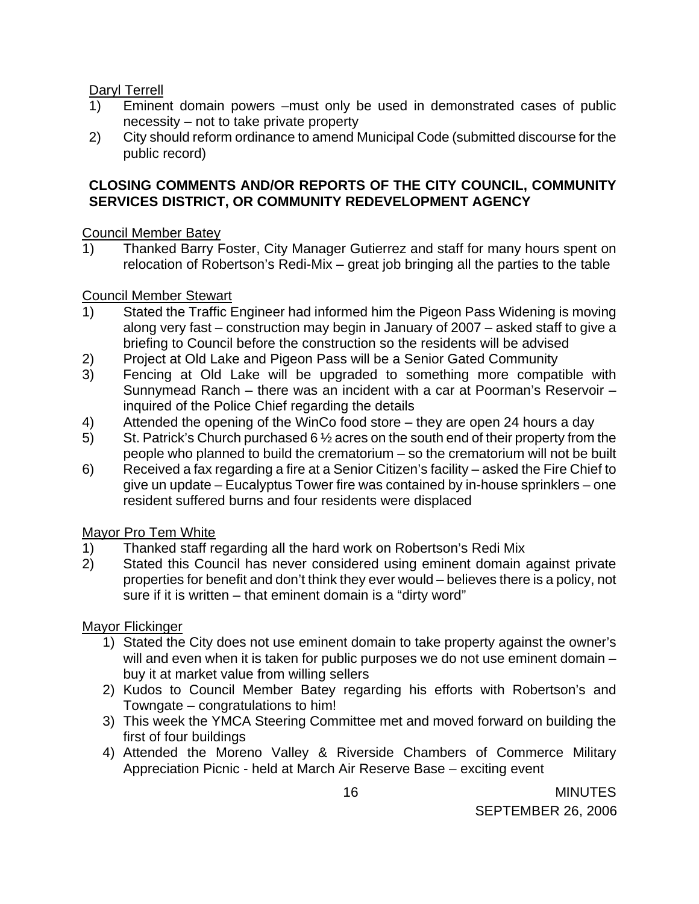Daryl Terrell

- 1) Eminent domain powers –must only be used in demonstrated cases of public necessity – not to take private property
- 2) City should reform ordinance to amend Municipal Code (submitted discourse for the public record)

# **CLOSING COMMENTS AND/OR REPORTS OF THE CITY COUNCIL, COMMUNITY SERVICES DISTRICT, OR COMMUNITY REDEVELOPMENT AGENCY**

Council Member Batey

1) Thanked Barry Foster, City Manager Gutierrez and staff for many hours spent on relocation of Robertson's Redi-Mix – great job bringing all the parties to the table

# Council Member Stewart

- 1) Stated the Traffic Engineer had informed him the Pigeon Pass Widening is moving along very fast – construction may begin in January of 2007 – asked staff to give a briefing to Council before the construction so the residents will be advised
- 2) Project at Old Lake and Pigeon Pass will be a Senior Gated Community
- 3) Fencing at Old Lake will be upgraded to something more compatible with Sunnymead Ranch – there was an incident with a car at Poorman's Reservoir – inquired of the Police Chief regarding the details
- 4) Attended the opening of the WinCo food store they are open 24 hours a day
- 5) St. Patrick's Church purchased 6  $\frac{1}{2}$  acres on the south end of their property from the people who planned to build the crematorium – so the crematorium will not be built
- 6) Received a fax regarding a fire at a Senior Citizen's facility asked the Fire Chief to give un update – Eucalyptus Tower fire was contained by in-house sprinklers – one resident suffered burns and four residents were displaced

# Mayor Pro Tem White

- 1) Thanked staff regarding all the hard work on Robertson's Redi Mix
- 2) Stated this Council has never considered using eminent domain against private properties for benefit and don't think they ever would – believes there is a policy, not sure if it is written – that eminent domain is a "dirty word"

# Mayor Flickinger

- 1) Stated the City does not use eminent domain to take property against the owner's will and even when it is taken for public purposes we do not use eminent domain – buy it at market value from willing sellers
- 2) Kudos to Council Member Batey regarding his efforts with Robertson's and Towngate – congratulations to him!
- 3) This week the YMCA Steering Committee met and moved forward on building the first of four buildings
- 4) Attended the Moreno Valley & Riverside Chambers of Commerce Military Appreciation Picnic - held at March Air Reserve Base – exciting event